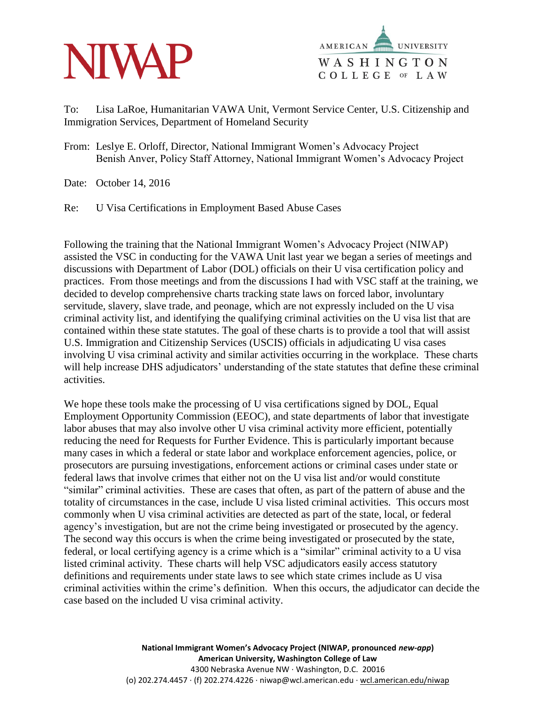



To: Lisa LaRoe, Humanitarian VAWA Unit, Vermont Service Center, U.S. Citizenship and Immigration Services, Department of Homeland Security

From: Leslye E. Orloff, Director, National Immigrant Women's Advocacy Project Benish Anver, Policy Staff Attorney, National Immigrant Women's Advocacy Project

Date: October 14, 2016

Re: U Visa Certifications in Employment Based Abuse Cases

Following the training that the National Immigrant Women's Advocacy Project (NIWAP) assisted the VSC in conducting for the VAWA Unit last year we began a series of meetings and discussions with Department of Labor (DOL) officials on their U visa certification policy and practices. From those meetings and from the discussions I had with VSC staff at the training, we decided to develop comprehensive charts tracking state laws on forced labor, involuntary servitude, slavery, slave trade, and peonage, which are not expressly included on the U visa criminal activity list, and identifying the qualifying criminal activities on the U visa list that are contained within these state statutes. The goal of these charts is to provide a tool that will assist U.S. Immigration and Citizenship Services (USCIS) officials in adjudicating U visa cases involving U visa criminal activity and similar activities occurring in the workplace. These charts will help increase DHS adjudicators' understanding of the state statutes that define these criminal activities.

We hope these tools make the processing of U visa certifications signed by DOL, Equal Employment Opportunity Commission (EEOC), and state departments of labor that investigate labor abuses that may also involve other U visa criminal activity more efficient, potentially reducing the need for Requests for Further Evidence. This is particularly important because many cases in which a federal or state labor and workplace enforcement agencies, police, or prosecutors are pursuing investigations, enforcement actions or criminal cases under state or federal laws that involve crimes that either not on the U visa list and/or would constitute "similar" criminal activities. These are cases that often, as part of the pattern of abuse and the totality of circumstances in the case, include U visa listed criminal activities. This occurs most commonly when U visa criminal activities are detected as part of the state, local, or federal agency's investigation, but are not the crime being investigated or prosecuted by the agency. The second way this occurs is when the crime being investigated or prosecuted by the state, federal, or local certifying agency is a crime which is a "similar" criminal activity to a U visa listed criminal activity. These charts will help VSC adjudicators easily access statutory definitions and requirements under state laws to see which state crimes include as U visa criminal activities within the crime's definition. When this occurs, the adjudicator can decide the case based on the included U visa criminal activity.